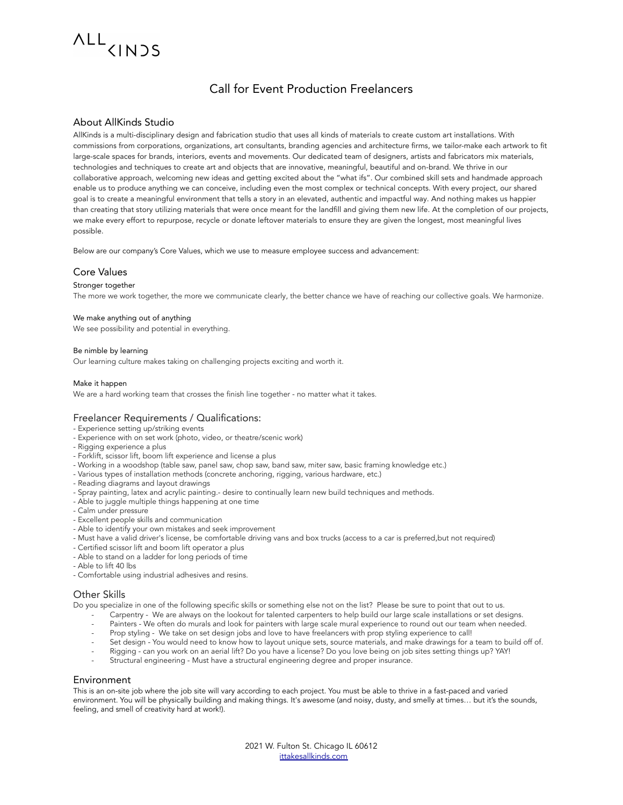## ALL<sub>CINDS</sub>

### Call for Event Production Freelancers

#### About AllKinds Studio

AllKinds is a multi-disciplinary design and fabrication studio that uses all kinds of materials to create custom art installations. With commissions from corporations, organizations, art consultants, branding agencies and architecture firms, we tailor-make each artwork to fit large-scale spaces for brands, interiors, events and movements. Our dedicated team of designers, artists and fabricators mix materials, technologies and techniques to create art and objects that are innovative, meaningful, beautiful and on-brand. We thrive in our collaborative approach, welcoming new ideas and getting excited about the "what ifs". Our combined skill sets and handmade approach enable us to produce anything we can conceive, including even the most complex or technical concepts. With every project, our shared goal is to create a meaningful environment that tells a story in an elevated, authentic and impactful way. And nothing makes us happier than creating that story utilizing materials that were once meant for the landfill and giving them new life. At the completion of our projects, we make every effort to repurpose, recycle or donate leftover materials to ensure they are given the longest, most meaningful lives possible.

Below are our company's Core Values, which we use to measure employee success and advancement:

#### Core Values

#### Stronger together

The more we work together, the more we communicate clearly, the better chance we have of reaching our collective goals. We harmonize.

#### We make anything out of anything

We see possibility and potential in everything.

#### Be nimble by learning

Our learning culture makes taking on challenging projects exciting and worth it.

#### Make it happen

We are a hard working team that crosses the finish line together - no matter what it takes.

#### Freelancer Requirements / Qualifications:

- Experience setting up/striking events
- Experience with on set work (photo, video, or theatre/scenic work)
- Rigging experience a plus
- Forklift, scissor lift, boom lift experience and license a plus
- Working in a woodshop (table saw, panel saw, chop saw, band saw, miter saw, basic framing knowledge etc.)
- Various types of installation methods (concrete anchoring, rigging, various hardware, etc.)
- Reading diagrams and layout drawings
- Spray painting, latex and acrylic painting.- desire to continually learn new build techniques and methods.
- Able to juggle multiple things happening at one time
- Calm under pressure
- Excellent people skills and communication
- Able to identify your own mistakes and seek improvement
- Must have a valid driver's license, be comfortable driving vans and box trucks (access to a car is preferred,but not required)
- Certified scissor lift and boom lift operator a plus
- Able to stand on a ladder for long periods of time
- Able to lift 40 lbs
- Comfortable using industrial adhesives and resins.

#### Other Skills

Do you specialize in one of the following specific skills or something else not on the list? Please be sure to point that out to us.

- Carpentry We are always on the lookout for talented carpenters to help build our large scale installations or set designs.
- Painters We often do murals and look for painters with large scale mural experience to round out our team when needed.
- Prop styling We take on set design jobs and love to have freelancers with prop styling experience to call!
- Set design You would need to know how to layout unique sets, source materials, and make drawings for a team to build off of.
- Rigging can you work on an aerial lift? Do you have a license? Do you love being on job sites setting things up? YAY!
- Structural engineering Must have a structural engineering degree and proper insurance.

#### Environment

This is an on-site job where the job site will vary according to each project. You must be able to thrive in a fast-paced and varied environment. You will be physically building and making things. It's awesome (and noisy, dusty, and smelly at times… but it's the sounds, feeling, and smell of creativity hard at work!).

> 2021 W. Fulton St. Chicago IL 60612 [ittakesallkinds.com](http://ittakesallkinds.com)